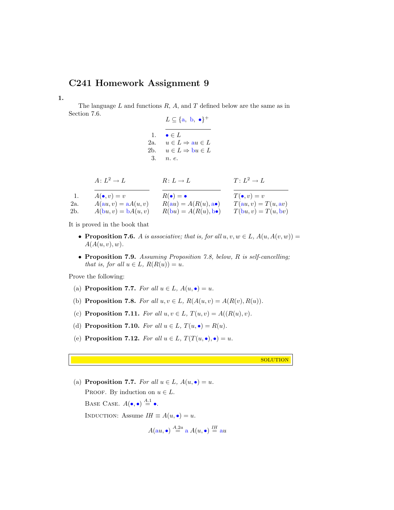## C241 Homework Assignment 9

1.

The language  $L$  and functions  $R$ ,  $A$ , and  $T$  defined below are the same as in Section 7.6.

 $L \subseteq \{a, b, \bullet\}^+$ 1.  $\bullet \in L$ 2a.  $u \in L \Rightarrow au \in L$ 2b.  $u \in L \Rightarrow bu \in L$ 3. n. e.

|  | $A: L^2 \to L$ | $R: L \to L$ | $T: L^2 \to L$ |
|--|----------------|--------------|----------------|
|--|----------------|--------------|----------------|

| $\perp$ . | $A(\bullet, v) = v$   | $R(\bullet) = \bullet$                | $T(\bullet, v) = v$   |
|-----------|-----------------------|---------------------------------------|-----------------------|
| 2a.       | $A(au, v) = aA(u, v)$ | $R(au) = A(R(u), \mathbf{a} \bullet)$ | $T(au, v) = T(u, av)$ |
| 2b.       | $A(bu, v) = bA(u, v)$ | $R(bu) = A(R(u), b\bullet)$           | $T(bu, v) = T(u, bv)$ |

It is proved in the book that

- Proposition 7.6. A is associative; that is, for all  $u, v, w \in L$ ,  $A(u, A(v, w)) =$  $A(A(u, v), w)$ .
- Proposition 7.9. Assuming Proposition 7.8, below, R is self-cancelling; that is, for all  $u \in L$ ,  $R(R(u)) = u$ .

Prove the following:

- (a) Proposition 7.7. For all  $u \in L$ ,  $A(u, \bullet) = u$ .
- (b) Proposition 7.8. For all  $u, v \in L$ ,  $R(A(u, v) = A(R(v), R(u))$ .
- (c) Proposition 7.11. For all  $u, v \in L$ ,  $T(u, v) = A((R(u), v)$ .
- (d) Proposition 7.10. For all  $u \in L$ ,  $T(u, \bullet) = R(u)$ .
- (e) Proposition 7.12. For all  $u \in L$ ,  $T(T(u, \bullet), \bullet) = u$ .

**SOLUTION** 

(a) Proposition 7.7. For all  $u \in L$ ,  $A(u, \bullet) = u$ . PROOF. By induction on  $u \in L$ . BASE CASE.  $A(\bullet, \bullet) \stackrel{A.1}{=} \bullet$ . INDUCTION: Assume  $IH \equiv A(u, \bullet) = u$ .  $I_{II}$ 

$$
A(au, \bullet) \stackrel{A.2a}{=} a A(u, \bullet) \stackrel{IH}{=} au
$$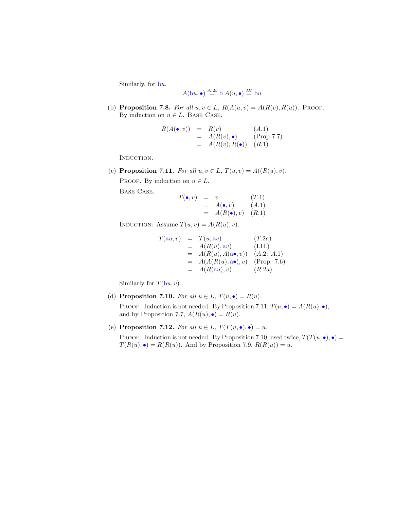Similarly, for bu,

$$
A(bu, \bullet) \stackrel{A.2b}{=} b A(u, \bullet) \stackrel{IH}{=} bu
$$

(b) Proposition 7.8. For all  $u, v \in L$ ,  $R(A(u, v) = A(R(v), R(u))$ . Proof. By induction on  $u \in L$ . BASE CASE.

$$
R(A(\bullet, v)) = R(v) \qquad (A.1)
$$
  
=  $A(R(v), \bullet)$  (Prop 7.7)  
=  $A(R(v), R(\bullet))$  (R.1)

INDUCTION.

(c) Proposition 7.11. For all  $u, v \in L$ ,  $T(u, v) = A((R(u), v)$ . PROOF. By induction on  $u \in L$ . Base Case.

$$
T(\bullet, v) = v \qquad (T.1)
$$
  
=  $A(\bullet, v) \qquad (A.1)$   
=  $A(R(\bullet), v) \qquad (R.1)$ 

INDUCTION: Assume  $T(u, v) = A(R(u), v)$ .

$$
T(au, v) = T(u, av)
$$
(T.2a)  
=  $A(R(u), av)$  (I.H.)  
=  $A(R(u), A(a•, v))$  (A.2; A.1)  
=  $A(A(R(u), a•), v)$  (Prop. 7.6)  
=  $A(R(au), v)$  (R.2a)

Similarly for  $T(bu, v)$ .

(d) Proposition 7.10. For all  $u \in L$ ,  $T(u, \bullet) = R(u)$ .

PROOF. Induction is not needed. By Proposition 7.11,  $T(u, \bullet) = A(R(u), \bullet)$ , and by Proposition 7.7,  $A(R(u), \bullet) = R(u)$ .

(e) Proposition 7.12. For all  $u \in L$ ,  $T(T(u, \bullet), \bullet) = u$ .

PROOF. Induction is not needed. By Proposition 7.10, used twice,  $T(T(u, \bullet), \bullet) =$  $T(R(u), \bullet) = R(R(u))$ . And by Proposition 7.9,  $R(R(u)) = u$ .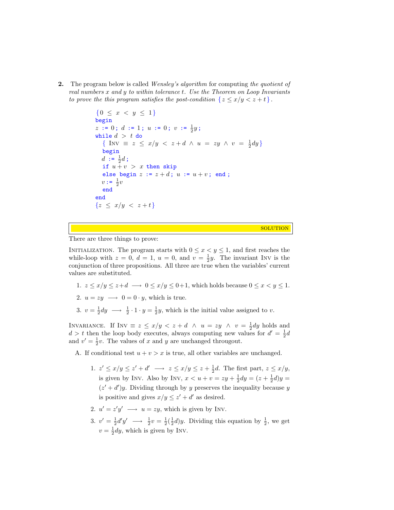2. The program below is called *Wensley's algorithm* for computing the quotient of real numbers x and y to within tolerance t. Use the Theorem on Loop Invariants to prove the this program satisfies the post-condition  $\{z \leq x/y < z + t\}.$ 

```
{0 \leq x < y \leq 1}begin
z := 0; d := 1; u := 0; v := \frac{1}{2}y;while d > t do
   \{ \text{ Inv } \equiv z \leq x/y \; < \; z+d \; \wedge \; u \; = \; zy \; \wedge \; v \; = \; \frac{1}{2}dy \}begin
   d := \frac{1}{2}d;
   if u + v > x then skip
   else begin z := z + d; u := u + v; end;
   v := \frac{1}{2}vend
end
{z \leq x/y < z+t}
```
**SOLUTION** 

There are three things to prove:

INITIALIZATION. The program starts with  $0 \le x \le y \le 1$ , and first reaches the while-loop with  $z = 0$ ,  $d = 1$ ,  $u = 0$ , and  $v = \frac{1}{2}y$ . The invariant INV is the conjunction of three propositions. All three are true when the variables' current values are substituted.

- 1.  $z \leq x/y \leq z+d \longrightarrow 0 \leq x/y \leq 0+1$ , which holds because  $0 \leq x < y \leq 1$ .
- 2.  $u = zy \rightarrow 0 = 0 \cdot y$ , which is true.
- 3.  $v = \frac{1}{2}dy \longrightarrow \frac{1}{2} \cdot 1 \cdot y = \frac{1}{2}y$ , which is the initial value assigned to v.

INVARIANCE. If INV  $\equiv z \leq x/y < z + d \land u = zy \land v = \frac{1}{2}dy$  holds and  $d > t$  then the loop body executes, always computing new values for  $d' = \frac{1}{2}d$ and  $v' = \frac{1}{2}v$ . The values of x and y are unchanged througout.

A. If conditional test  $u + v > x$  is true, all other variables are unchanged.

- 1.  $z' \leq x/y \leq z' + d' \longrightarrow z \leq x/y \leq z + \frac{1}{2}d$ . The first part,  $z \leq x/y$ , is given by INV. Also by INV,  $x < u + v = zy + \frac{1}{2}dy = (z + \frac{1}{2}d)y =$  $(z' + d')y$ . Dividing through by y preserves the inequality because y is positive and gives  $x/y \leq z' + d'$  as desired.
- 2.  $u' = z'y' \longrightarrow u = zy$ , which is given by INV.
- 3.  $v' = \frac{1}{2}d'y' \longrightarrow \frac{1}{2}v = \frac{1}{2}(\frac{1}{2}d)y$ . Dividing this equation by  $\frac{1}{2}$ , we get  $v = \frac{1}{2}dy$ , which is given by INV.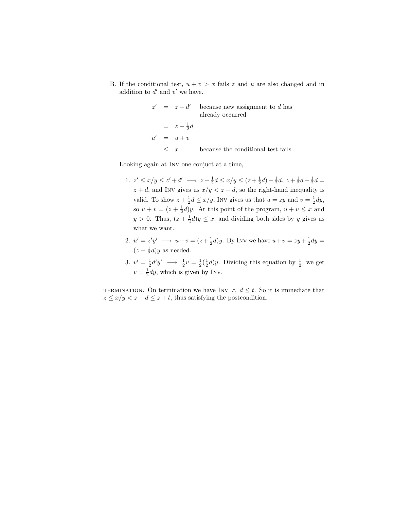B. If the conditional test,  $u + v > x$  fails z and u are also changed and in addition to  $d'$  and  $v'$  we have.

$$
z' = z + d'
$$
 because new assignment to *d* has already occurred  
=  $z + \frac{1}{2}d$   

$$
u' = u + v
$$
  

$$
\leq x
$$
 because the conditional test fails

Looking again at Inv one conjuct at a time,

- 1.  $z' \le x/y \le z' + d' \longrightarrow z + \frac{1}{2}d \le x/y \le (z + \frac{1}{2}d) + \frac{1}{2}d$ .  $z + \frac{1}{2}d + \frac{1}{2}d =$  $z + d$ , and INV gives us  $x/y < z + d$ , so the right-hand inequality is valid. To show  $z + \frac{1}{2}d \leq x/y$ , Inv gives us that  $u = zy$  and  $v = \frac{1}{2}dy$ , so  $u + v = (z + \frac{1}{2}d)y$ . At this point of the program,  $u + v \leq x$  and  $y > 0$ . Thus,  $(z + \frac{1}{2}d)y \leq x$ , and dividing both sides by y gives us what we want.
- 2.  $u' = z'y' \longrightarrow u+v = (z+\frac{1}{2}d)y$ . By Inv we have  $u+v = zy+\frac{1}{2}dy =$  $(z + \frac{1}{2}d)y$  as needed.
- 3.  $v' = \frac{1}{2}d'y' \longrightarrow \frac{1}{2}v = \frac{1}{2}(\frac{1}{2}d)y$ . Dividing this equation by  $\frac{1}{2}$ , we get  $v = \frac{1}{2}dy$ , which is given by INV.

TERMINATION. On termination we have INV  $\land d \leq t$ . So it is immediate that  $z \leq x/y < z + d \leq z + t$ , thus satisfying the postcondition.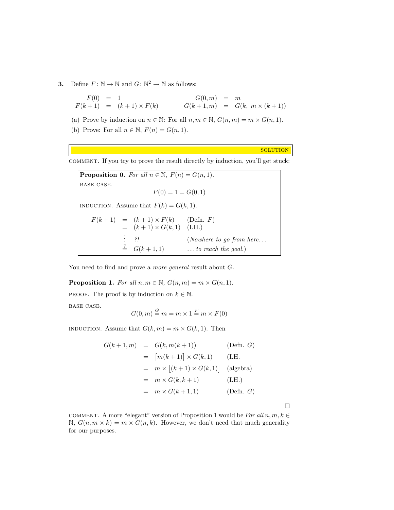**3.** Define  $F: \mathbb{N} \to \mathbb{N}$  and  $G: \mathbb{N}^2 \to \mathbb{N}$  as follows:

 $F(0) = 1$  $F(k + 1) = (k + 1) \times F(k)$  $G(0,m) = m$  $G(k + 1, m) = G(k, m \times (k + 1))$ 

(a) Prove by induction on  $n \in \mathbb{N}$ : For all  $n, m \in \mathbb{N}$ ,  $G(n, m) = m \times G(n, 1)$ .

(b) Prove: For all  $n \in \mathbb{N}$ ,  $F(n) = G(n, 1)$ .

**SOLUTION** 

comment. If you try to prove the result directly by induction, you'll get stuck:

**Proposition 0.** For all  $n \in \mathbb{N}$ ,  $F(n) = G(n, 1)$ . base case.  $F(0) = 1 = G(0, 1)$ INDUCTION. Assume that  $F(k) = G(k, 1)$ .  $F(k+1) = (k+1) \times F(k)$  (Defn. F)  $= (k+1) \times G(k, 1)$  (I.H.) . . : ?!<br>  $\stackrel{?}{=} G(k+1,1)$  (Nowhere to go from here...<br>  $\stackrel{?}{=} G(k+1,1)$  ...to reach the goal.)  $\ldots$  to reach the goal.)

You need to find and prove a *more general* result about  $G$ .

**Proposition 1.** For all  $n, m \in \mathbb{N}$ ,  $G(n, m) = m \times G(n, 1)$ . PROOF. The proof is by induction on  $k \in \mathbb{N}$ . base case.  $G(0, m) \stackrel{G}{=} m = m \times 1 \stackrel{F}{=} m \times F(0)$ 

INDUCTION. Assume that  $G(k, m) = m \times G(k, 1)$ . Then

$$
G(k+1,m) = G(k, m(k+1)) \qquad \text{(Defn. } G)
$$
  
\n
$$
= [m(k+1)] \times G(k,1) \qquad \text{(I.H.}
$$
  
\n
$$
= m \times [(k+1) \times G(k,1)] \qquad \text{(algebra)}
$$
  
\n
$$
= m \times G(k, k+1) \qquad \text{(I.H.)}
$$
  
\n
$$
= m \times G(k+1,1) \qquad \text{(Defn. } G)
$$

 $\Box$ 

COMMENT. A more "elegant" version of Proposition 1 would be For all  $n, m, k \in$  $\mathbb{N}, G(n, m \times k) = m \times G(n, k)$ . However, we don't need that much generality for our purposes.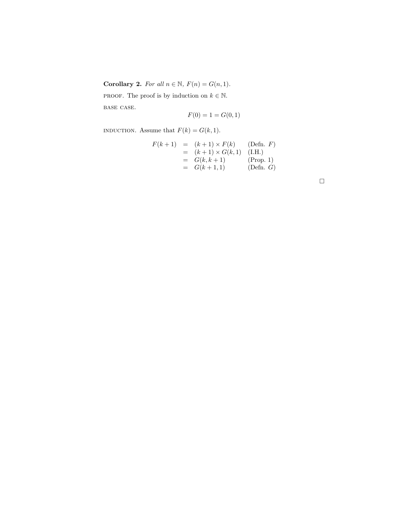Corollary 2. For all  $n \in \mathbb{N}$ ,  $F(n) = G(n, 1)$ .

PROOF. The proof is by induction on  $k \in \mathbb{N}$ .

base case.

$$
F(0) = 1 = G(0,1)
$$

INDUCTION. Assume that  $F(k) = G(k, 1)$ .

$$
F(k + 1) = (k + 1) \times F(k)
$$
 (Defn. F)  
= (k + 1) \times G(k, 1) (I.H.)  
= G(k, k + 1) (Prop. 1)  
= G(k + 1, 1) (Defn. G)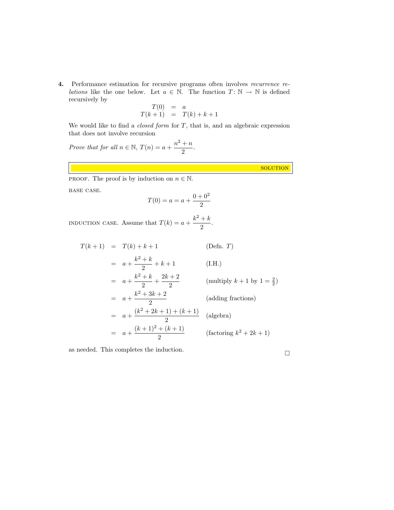4. Performance estimation for recursive programs often involves recurrence re*lations* like the one below. Let  $a \in \mathbb{N}$ . The function  $T: \mathbb{N} \to \mathbb{N}$  is defined recursively by

$$
T(0) = a
$$
  

$$
T(k+1) = T(k) + k + 1
$$

We would like to find a *closed form* for  $T$ , that is, and an algebraic expression that does not involve recursion

Prove that for all 
$$
n \in \mathbb{N}
$$
,  $T(n) = a + \frac{n^2 + n}{2}$ .

**SOLUTION** 

**PROOF.** The proof is by induction on  $n \in \mathbb{N}$ .

base case.

$$
T(0) = a = a + \frac{0 + 0^2}{2}
$$

INDUCTION CASE. Assume that  $T(k) = a + \frac{k^2 + k^2}{2}$  $\frac{1}{2}$ .

$$
T(k+1) = T(k) + k + 1
$$
 (Defn. T)  
\n
$$
= a + \frac{k^2 + k}{2} + k + 1
$$
 (I.H.)  
\n
$$
= a + \frac{k^2 + k}{2} + \frac{2k + 2}{2}
$$
 (multiply  $k + 1$  by  $1 = \frac{2}{2}$ )  
\n
$$
= a + \frac{k^2 + 3k + 2}{2}
$$
 (adding fractions)  
\n
$$
= a + \frac{(k^2 + 2k + 1) + (k + 1)}{2}
$$
 (algebra)  
\n
$$
= a + \frac{(k + 1)^2 + (k + 1)}{2}
$$
 (factoring  $k^2 + 2k + 1$ )

as needed. This completes the induction.  $\hfill \Box$